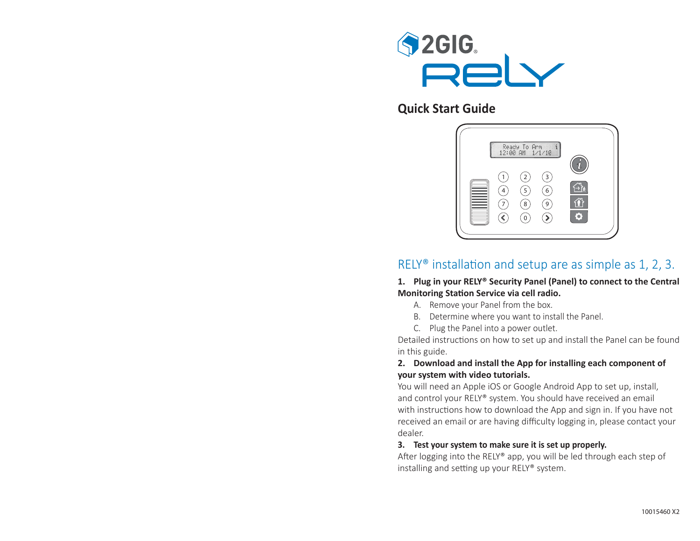

# **Quick Start Guide**



# <code>RELY®</code> installation and setup are as simple as 1, 2, 3.  $\,$

**1. Plug in your RELY® Security Panel (Panel) to connect to the Central Monitoring Sta Ɵ on Service via cell radio.**

- A. Remove your Panel from the box.
- B. Determine where you want to install the Panel.
- C. Plug the Panel into a power outlet.

Detailed instructions on how to set up and install the Panel can be found in this guide.

#### **2. Download and install the App for installing each component of your system with video tutorials.**

You will need an Apple iOS or Google Android App to set up, install, and control your RELY® system. You should have received an email with instructions how to download the App and sign in. If you have not received an email or are having difficulty logging in, please contact your dealer.

#### **3. Test your system to make sure it is set up properly.**

After logging into the RELY® app, you will be led through each step of installing and setting up your RELY® system.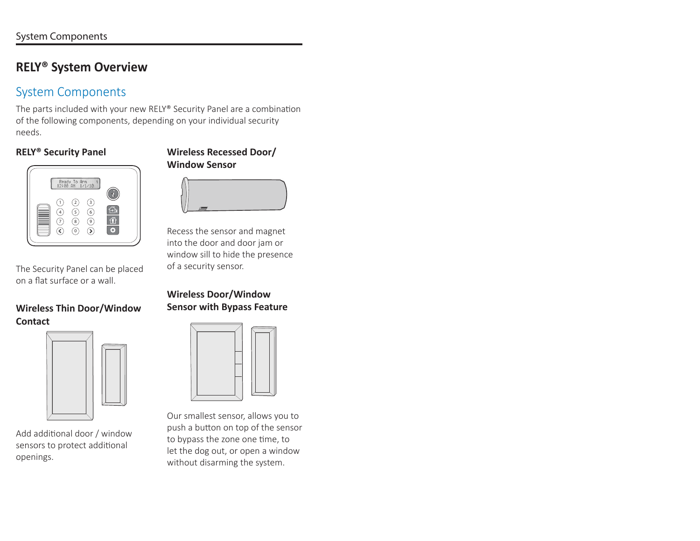# **RELY® System Overview**

# System Components

The parts included with your new RELY® Security Panel are a combination of the following components, depending on your individual security needs.

# **RELY® Security Panel**



The Security Panel can be placed on a flat surface or a wall.

## **Wireless Thin Door/Window Contact**



Add additional door / window sensors to protect additional openings.

### **Wireless Recessed Door/ Window Sensor**



Recess the sensor and magnet into the door and door jam or window sill to hide the presence of a security sensor.

# **Wireless Door/Window Sensor with Bypass Feature**



Our smallest sensor, allows you to push a button on top of the sensor to bypass the zone one time, to let the dog out, or open a window without disarming the system.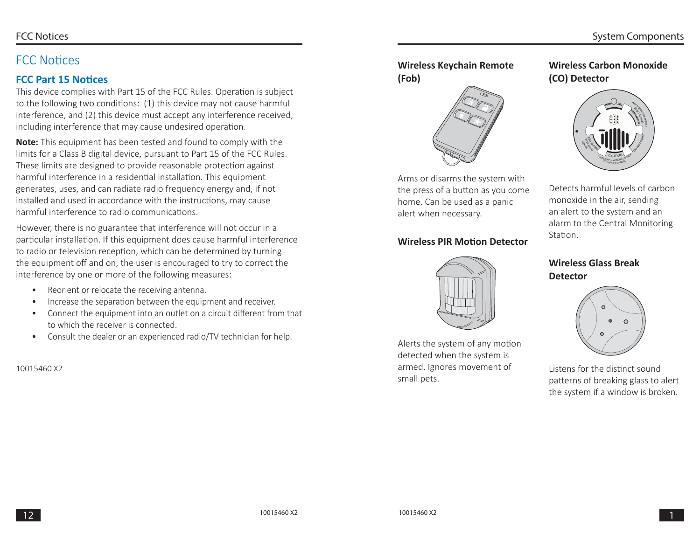# FCC Notices

# **FCC Part 15 Notices**

This device complies with Part 15 of the FCC Rules. Operation is subject to the following two conditions: (1) this device may not cause harmful interference, and (2) this device must accept any interference received, including interference that may cause undesired operation.

**Note:** This equipment has been tested and found to comply with the limits for a Class B digital device, pursuant to Part 15 of the FCC Rules. These limits are designed to provide reasonable protection against harmful interference in a residential installation. This equipment generates, uses, and can radiate radio frequency energy and, if not installed and used in accordance with the instructions, may cause harmful interference to radio communications.

However, there is no guarantee that interference will not occur in a particular installation. If this equipment does cause harmful interference to radio or television reception, which can be determined by turning the equipment off and on, the user is encouraged to try to correct the interference by one or more of the following measures:

- Reorient or relocate the receiving antenna.
- Increase the separation between the equipment and receiver.
- Connect the equipment into an outlet on a circuit different from that to which the receiver is connected.
- Consult the dealer or an experienced radio/TV technician for help.

#### 10015460 X2

# **Wireless Keychain Remote (Fob)**



Arms or disarms the system with the press of a button as you come home. Can be used as a panic alert when necessary.

# **Wireless PIR Motion Detector**



Alerts the system of any motion detected when the system is armed. Ignores movement of small pets.

# **Wireless Carbon Monoxide (CO) Detector**



Detects harmful levels of carbon monoxide in the air, sending an alert to the system and an alarm to the Central Monitoring Station.

## **Wireless Glass Break Detector**



Listens for the distinct sound patterns of breaking glass to alert the system if a window is broken.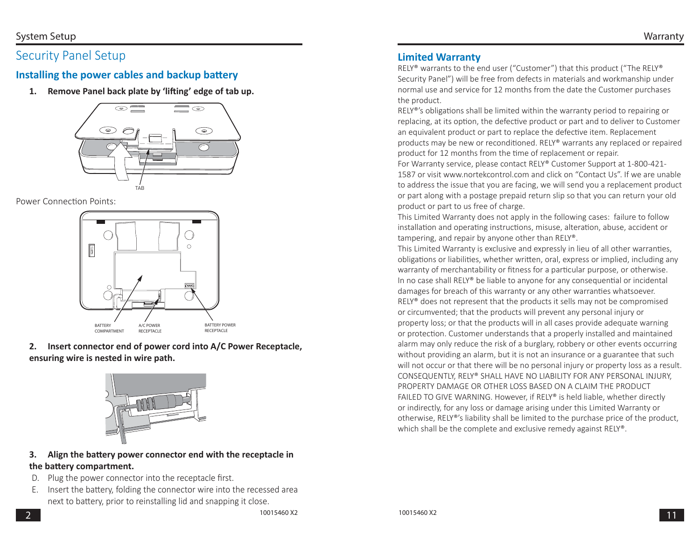# Security Panel Setup

# **Installing the power cables and backup battery**

1. Remove Panel back plate by 'lifting' edge of tab up.



#### Power Connection Points:



### **2. Insert connector end of power cord into A/C Power Receptacle, ensuring wire is nested in wire path.**



#### **3.** Align the battery power connector end with the receptacle in **the baƩ ery compartment.**

- D. Plug the power connector into the receptacle first.
- E. Insert the battery, folding the connector wire into the recessed area next to battery, prior to reinstalling lid and snapping it close.

# **Limited Warranty**

RELY® warrants to the end user ("Customer") that this product ("The RELY® Security Panel") will be free from defects in materials and workmanship under normal use and service for 12 months from the date the Customer purchases the product.

RELY®'s obligations shall be limited within the warranty period to repairing or replacing, at its option, the defective product or part and to deliver to Customer an equivalent product or part to replace the defective item. Replacement products may be new or reconditioned. RELY<sup>®</sup> warrants any replaced or repaired product for 12 months from the time of replacement or repair.

For Warranty service, please contact RELY® Customer Support at 1-800-421- 1587 or visit www.nortekcontrol.com and click on "Contact Us". If we are unable to address the issue that you are facing, we will send you a replacement product or part along with a postage prepaid return slip so that you can return your old product or part to us free of charge.

This Limited Warranty does not apply in the following cases: failure to follow installation and operating instructions, misuse, alteration, abuse, accident or tampering, and repair by anyone other than RELY®.

This Limited Warranty is exclusive and expressly in lieu of all other warranties, obligations or liabilities, whether written, oral, express or implied, including any warranty of merchantability or fitness for a particular purpose, or otherwise. In no case shall RELY® be liable to anyone for any consequential or incidental damages for breach of this warranty or any other warranties whatsoever. RELY® does not represent that the products it sells may not be compromised or circumvented; that the products will prevent any personal injury or property loss; or that the products will in all cases provide adequate warning or protection. Customer understands that a properly installed and maintained alarm may only reduce the risk of a burglary, robbery or other events occurring without providing an alarm, but it is not an insurance or a guarantee that such will not occur or that there will be no personal injury or property loss as a result. CONSEQUENTLY, RELY® SHALL HAVE NO LIABILITY FOR ANY PERSONAL INJURY, PROPERTY DAMAGE OR OTHER LOSS BASED ON A CLAIM THE PRODUCT FAILED TO GIVE WARNING. However, if RELY® is held liable, whether directly or indirectly, for any loss or damage arising under this Limited Warranty or otherwise, RELY®'s liability shall be limited to the purchase price of the product, which shall be the complete and exclusive remedy against RELY®.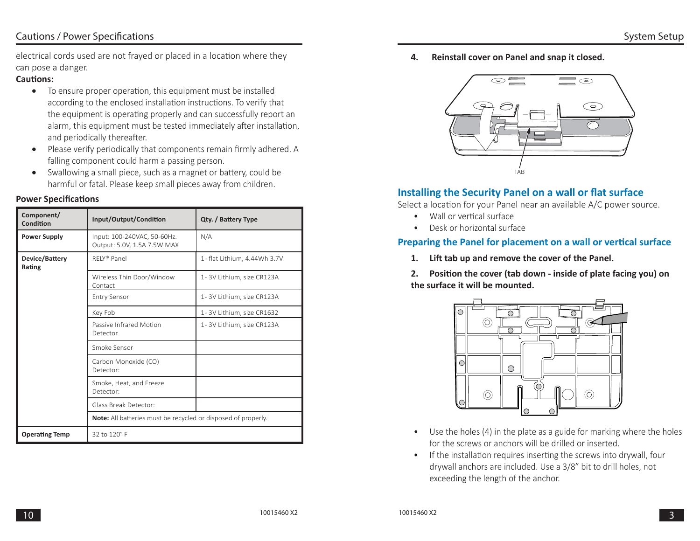## Cautions / Power Specifications

electrical cords used are not frayed or placed in a location where they can pose a danger.

#### **CauƟ ons:**

- $\bullet$  To ensure proper operation, this equipment must be installed according to the enclosed installation instructions. To verify that the equipment is operating properly and can successfully report an alarm, this equipment must be tested immediately after installation, and periodically thereafter.
- $\bullet$ Please verify periodically that components remain firmly adhered. A falling component could harm a passing person.
- $\bullet$ Swallowing a small piece, such as a magnet or battery, could be harmful or fatal. Please keep small pieces away from children.

#### **Power Specifications**

| Component/<br>Condition  | Input/Output/Condition                                               | Qty. / Battery Type          |
|--------------------------|----------------------------------------------------------------------|------------------------------|
| <b>Power Supply</b>      | Input: 100-240VAC, 50-60Hz.<br>Output: 5.0V, 1.5A 7.5W MAX           | N/A                          |
| Device/Battery<br>Rating | RFIY <sup>®</sup> Panel                                              | 1- flat Lithium, 4.44Wh 3.7V |
|                          | Wireless Thin Door/Window<br>Contact                                 | 1-3V Lithium, size CR123A    |
|                          | <b>Entry Sensor</b>                                                  | 1-3V Lithium, size CR123A    |
|                          | Key Fob                                                              | 1-3V Lithium, size CR1632    |
|                          | Passive Infrared Motion<br>Detector                                  | 1-3V Lithium, size CR123A    |
|                          | Smoke Sensor                                                         |                              |
|                          | Carbon Monoxide (CO)<br>Detector:                                    |                              |
|                          | Smoke, Heat, and Freeze<br>Detector:                                 |                              |
|                          | Glass Break Detector:                                                |                              |
|                          | <b>Note:</b> All batteries must be recycled or disposed of properly. |                              |
| <b>Operating Temp</b>    | 32 to 120° F                                                         |                              |

**4. Reinstall cover on Panel and snap it closed.**



## **Installing the Security Panel on a wall or flat surface**

Select a location for your Panel near an available A/C power source.

- Wall or vertical surface
- Desk or horizontal surface

#### **Preparing the Panel for placement on a wall or vertical surface**

- 1. Lift tab up and remove the cover of the Panel.
- **2.** Position the cover (tab down inside of plate facing you) on **the surface it will be mounted.**



- Use the holes (4) in the plate as a guide for marking where the holes for the screws or anchors will be drilled or inserted.
- If the installation requires inserting the screws into drywall, four drywall anchors are included. Use a 3/8" bit to drill holes, not exceeding the length of the anchor.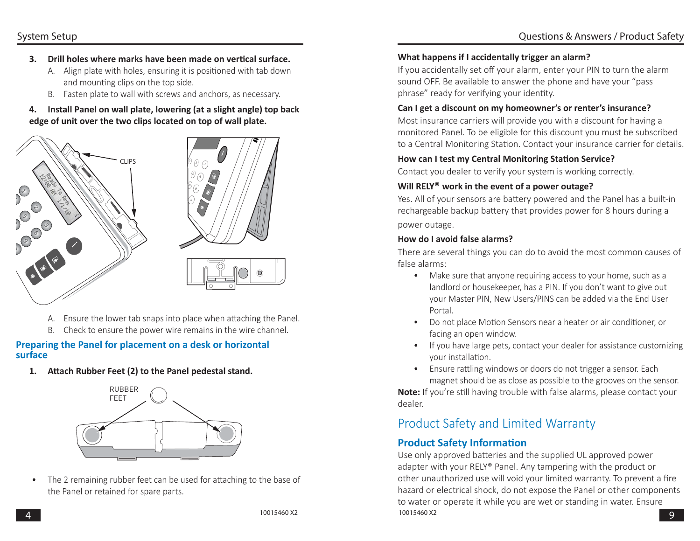#### System Setup

- **3.** Drill holes where marks have been made on vertical surface.
	- A. Align plate with holes, ensuring it is positioned with tab down and mounting clips on the top side.
	- B. Fasten plate to wall with screws and anchors, as necessary.

#### **4. Install Panel on wall plate, lowering (at a slight angle) top back edge of unit over the two clips located on top of wall plate.**





- A. Ensure the lower tab snaps into place when attaching the Panel.
- B. Check to ensure the power wire remains in the wire channel.

#### **Preparing the Panel for placement on a desk or horizontal surface**

1. Attach Rubber Feet (2) to the Panel pedestal stand.



• The 2 remaining rubber feet can be used for attaching to the base of the Panel or retained for spare parts.

#### **What happens if I accidentally trigger an alarm?**

If you accidentally set off your alarm, enter your PIN to turn the alarm sound OFF. Be available to answer the phone and have your "pass phrase" ready for verifying your identity.

#### **Can I get a discount on my homeowner's or renter's insurance?**

Most insurance carriers will provide you with a discount for having a monitored Panel. To be eligible for this discount you must be subscribed to a Central Monitoring Station. Contact your insurance carrier for details.

#### **How can I test my Central Monitoring Station Service?**

Contact you dealer to verify your system is working correctly.

#### **Will RELY® work in the event of a power outage?**

Yes. All of your sensors are battery powered and the Panel has a built-in rechargeable backup battery that provides power for 8 hours during a power outage.

#### **How do I avoid false alarms?**

There are several things you can do to avoid the most common causes of false alarms:

- Make sure that anyone requiring access to your home, such as a landlord or housekeeper, has a PIN. If you don't want to give out your Master PIN, New Users/PINS can be added via the End User Portal.
- Do not place Motion Sensors near a heater or air conditioner, or facing an open window.
- If you have large pets, contact your dealer for assistance customizing vour installation.
- Ensure rattling windows or doors do not trigger a sensor. Each magnet should be as close as possible to the grooves on the sensor.

**Note:** If you're still having trouble with false alarms, please contact your dealer.

# Product Safety and Limited Warranty

# **Product Safety Information**

10015460 X2 $\sim$  9 Use only approved batteries and the supplied UL approved power adapter with your RELY® Panel. Any tampering with the product or other unauthorized use will void your limited warranty. To prevent a fire hazard or electrical shock, do not expose the Panel or other components to water or operate it while you are wet or standing in water. Ensure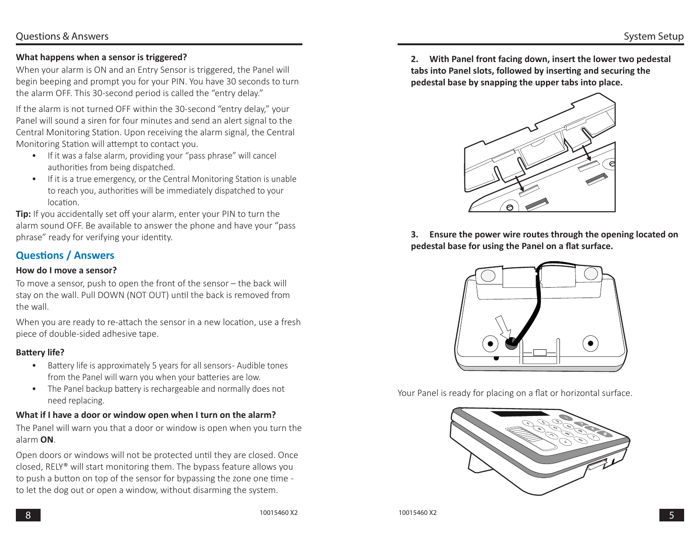#### **What happens when a sensor is triggered?**

When your alarm is ON and an Entry Sensor is triggered, the Panel will begin beeping and prompt you for your PIN. You have 30 seconds to turn the alarm OFF. This 30-second period is called the "entry delay."

If the alarm is not turned OFF within the 30-second "entry delay," your Panel will sound a siren for four minutes and send an alert signal to the Central Monitoring Station. Upon receiving the alarm signal, the Central Monitoring Station will attempt to contact you.

- If it was a false alarm, providing your "pass phrase" will cancel authorities from being dispatched.
- If it is a true emergency, or the Central Monitoring Station is unable to reach you, authorities will be immediately dispatched to your location.

**Tip:** If you accidentally set off your alarm, enter your PIN to turn the alarm sound OFF. Be available to answer the phone and have your "pass phrase" ready for verifying your identity.

## **Questions / Answers**

#### **How do I move a sensor?**

To move a sensor, push to open the front of the sensor – the back will stay on the wall. Pull DOWN (NOT OUT) until the back is removed from the wall.

When you are ready to re-attach the sensor in a new location, use a fresh piece of double-sided adhesive tape.

#### **Battery life?**

- Battery life is approximately 5 years for all sensors-Audible tones from the Panel will warn you when your batteries are low.
- The Panel backup battery is rechargeable and normally does not need replacing.

#### **What if I have a door or window open when I turn on the alarm?**

The Panel will warn you that a door or window is open when you turn the alarm **ON**.

Open doors or windows will not be protected until they are closed. Once closed, RELY® will start monitoring them. The bypass feature allows you to push a button on top of the sensor for bypassing the zone one time to let the dog out or open a window, without disarming the system.

**2. With Panel front facing down, insert the lower two pedestal tabs into Panel slots, followed by inserting and securing the pedestal base by snapping the upper tabs into place.**



**3. Ensure the power wire routes through the opening located on**  pedestal base for using the Panel on a flat surface.



Your Panel is ready for placing on a flat or horizontal surface.